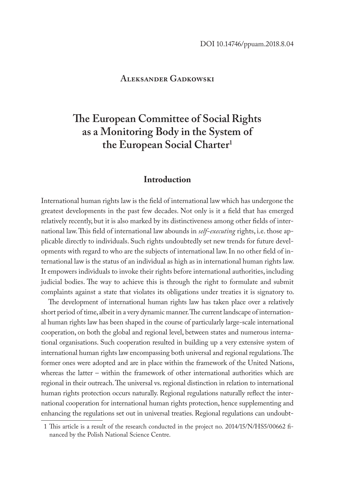### **Aleksander Gadkowski**

# **The European Committee of Social Rights as a Monitoring Body in the System of the European Social Charter1**

## **Introduction**

International human rights law is the field of international law which has undergone the greatest developments in the past few decades. Not only is it a field that has emerged relatively recently, but it is also marked by its distinctiveness among other fields of international law. This field of international law abounds in *self-executing* rights, i.e. those applicable directly to individuals. Such rights undoubtedly set new trends for future developments with regard to who are the subjects of international law. In no other field of international law is the status of an individual as high as in international human rights law. It empowers individuals to invoke their rights before international authorities, including judicial bodies. The way to achieve this is through the right to formulate and submit complaints against a state that violates its obligations under treaties it is signatory to.

The development of international human rights law has taken place over a relatively short period of time, albeit in a very dynamic manner. The current landscape of international human rights law has been shaped in the course of particularly large-scale international cooperation, on both the global and regional level, between states and numerous international organisations. Such cooperation resulted in building up a very extensive system of international human rights law encompassing both universal and regional regulations. The former ones were adopted and are in place within the framework of the United Nations, whereas the latter – within the framework of other international authorities which are regional in their outreach. The universal vs. regional distinction in relation to international human rights protection occurs naturally. Regional regulations naturally reflect the international cooperation for international human rights protection, hence supplementing and enhancing the regulations set out in universal treaties. Regional regulations can undoubt-

<sup>1</sup> This article is a result of the research conducted in the project no. 2014/15/N/HS5/00662 financed by the Polish National Science Centre.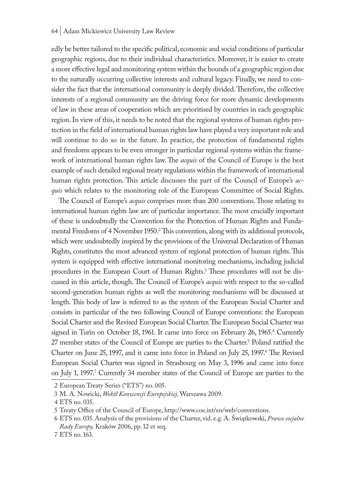#### 64 | Adam Mickiewicz University Law Review

edly be better tailored to the specific political, economic and social conditions of particular geographic regions, due to their individual characteristics. Moreover, it is easier to create a more effective legal and monitoring system within the bounds of a geographic region due to the naturally occurring collective interests and cultural legacy. Finally, we need to consider the fact that the international community is deeply divided. Therefore, the collective interests of a regional community are the driving force for more dynamic developments of law in these areas of cooperation which are prioritised by countries in each geographic region. In view of this, it needs to be noted that the regional systems of human rights protection in the field of international human rights law have played a very important role and will continue to do so in the future. In practice, the protection of fundamental rights and freedoms appears to be even stronger in particular regional systems within the framework of international human rights law. The *acquis* of the Council of Europe is the best example of such detailed regional treaty regulations within the framework of international human rights protection. This article discusses the part of the Council of Europe's *acquis* which relates to the monitoring role of the European Committee of Social Rights.

The Council of Europe's *acquis* comprises more than 200 conventions. Those relating to international human rights law are of particular importance. The most crucially important of these is undoubtedly the Convention for the Protection of Human Rights and Fundamental Freedoms of 4 November 1950.<sup>2</sup> This convention, along with its additional protocols, which were undoubtedly inspired by the provisions of the Universal Declaration of Human Rights, constitutes the most advanced system of regional protection of human rights. This system is equipped with effective international monitoring mechanisms, including judicial procedures in the European Court of Human Rights.3 These procedures will not be discussed in this article, though. The Council of Europe's *acquis* with respect to the so-called second-generation human rights as well the monitoring mechanisms will be discussed at length. This body of law is referred to as the system of the European Social Charter and consists in particular of the two following Council of Europe conventions: the European Social Charter and the Revised European Social Charter. The European Social Charter was signed in Turin on October 18, 1961. It came into force on February 26, 1965.4 Currently 27 member states of the Council of Europe are parties to the Charter.<sup>5</sup> Poland ratified the Charter on June 25, 1997, and it came into force in Poland on July 25, 1997.<sup>6</sup> The Revised European Social Charter was signed in Strasbourg on May 3, 1996 and came into force on July 1, 1997.' Currently 34 member states of the Council of Europe are parties to the

<sup>2</sup> European Treaty Series ("ETS") no. 005.

<sup>3</sup> M. A. Nowicki, *Wokół Konwencji Europejskiej,* Warszawa 2009.

<sup>4</sup> ETS no. 035.

<sup>5</sup> Treaty Office of the Council of Europe, http://www.coe.int/en/web/conventions.

<sup>6</sup> ETS no. 035. Analysis of the provisions of the Charter, vid. e.g. A. Świątkowski, *Prawo socjalne Rady Europy,* Kraków 2006, pp. 12 et seq.

<sup>7</sup> ETS no. 163.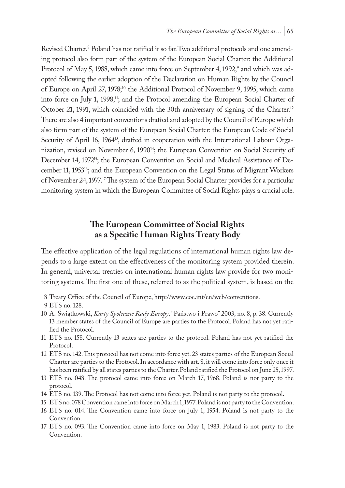Revised Charter.<sup>8</sup> Poland has not ratified it so far. Two additional protocols and one amending protocol also form part of the system of the European Social Charter: the Additional Protocol of May 5, 1988, which came into force on September 4, 1992,<sup>9</sup> and which was adopted following the earlier adoption of the Declaration on Human Rights by the Council of Europe on April 27, 1978;10 the Additional Protocol of November 9, 1995, which came into force on July 1, 1998,<sup>11</sup>; and the Protocol amending the European Social Charter of October 21, 1991, which coincided with the 30th anniversary of signing of the Charter.<sup>12</sup> There are also 4 important conventions drafted and adopted by the Council of Europe which also form part of the system of the European Social Charter: the European Code of Social Security of April 16, 1964<sup>13</sup>, drafted in cooperation with the International Labour Organization, revised on November 6, 1990<sup>14</sup>; the European Convention on Social Security of December 14, 1972<sup>15</sup>; the European Convention on Social and Medical Assistance of December 11, 1953<sup>16</sup>; and the European Convention on the Legal Status of Migrant Workers of November 24, 1977.<sup>17</sup> The system of the European Social Charter provides for a particular monitoring system in which the European Committee of Social Rights plays a crucial role.

# **The European Committee of Social Rights as a Specific Human Rights Treaty Body**

The effective application of the legal regulations of international human rights law depends to a large extent on the effectiveness of the monitoring system provided therein. In general, universal treaties on international human rights law provide for two monitoring systems. The first one of these, referred to as the political system, is based on the

- 14 ETS no. 139. The Protocol has not come into force yet. Poland is not party to the protocol.
- 15 ETS no. 078 Convention came into force on March 1, 1977. Poland is not party to the Convention.

<sup>8</sup> Treaty Office of the Council of Europe, http://www.coe.int/en/web/conventions.

<sup>9</sup> ETS no. 128.

<sup>10</sup> A. Świątkowski, *Karty Społeczne Rady Europy*, "Państwo i Prawo" 2003, no. 8, p. 38. Currently 13 member states of the Council of Europe are parties to the Protocol. Poland has not yet ratified the Protocol.

<sup>11</sup> ETS no. 158. Currently 13 states are parties to the protocol. Poland has not yet ratified the Protocol.

<sup>12</sup> ETS no. 142. This protocol has not come into force yet. 23 states parties of the European Social Charter are parties to the Protocol. In accordance with art. 8, it will come into force only once it has been ratified by all states parties to the Charter. Poland ratified the Protocol on June 25, 1997.

<sup>13</sup> ETS no. 048. The protocol came into force on March 17, 1968. Poland is not party to the protocol.

<sup>16</sup> ETS no. 014. The Convention came into force on July 1, 1954. Poland is not party to the Convention.

<sup>17</sup> ETS no. 093. The Convention came into force on May 1, 1983. Poland is not party to the Convention.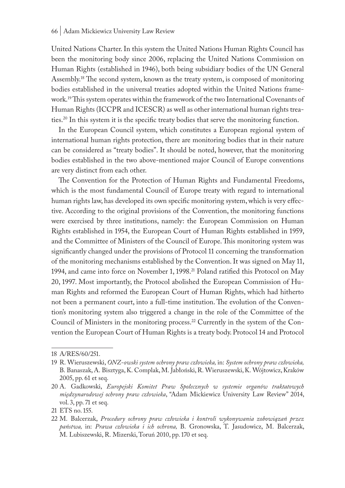United Nations Charter. In this system the United Nations Human Rights Council has been the monitoring body since 2006, replacing the United Nations Commission on Human Rights (established in 1946), both being subsidiary bodies of the UN General Assembly.18 The second system, known as the treaty system, is composed of monitoring bodies established in the universal treaties adopted within the United Nations framework.19 This system operates within the framework of the two International Covenants of Human Rights (ICCPR and ICESCR) as well as other international human rights treaties.20 In this system it is the specific treaty bodies that serve the monitoring function.

In the European Council system, which constitutes a European regional system of international human rights protection, there are monitoring bodies that in their nature can be considered as "treaty bodies". It should be noted, however, that the monitoring bodies established in the two above-mentioned major Council of Europe conventions are very distinct from each other.

The Convention for the Protection of Human Rights and Fundamental Freedoms, which is the most fundamental Council of Europe treaty with regard to international human rights law, has developed its own specific monitoring system, which is very effective. According to the original provisions of the Convention, the monitoring functions were exercised by three institutions, namely: the European Commission on Human Rights established in 1954, the European Court of Human Rights established in 1959, and the Committee of Ministers of the Council of Europe. This monitoring system was significantly changed under the provisions of Protocol 11 concerning the transformation of the monitoring mechanisms established by the Convention. It was signed on May 11, 1994, and came into force on November 1, 1998.<sup>21</sup> Poland ratified this Protocol on May 20, 1997. Most importantly, the Protocol abolished the European Commission of Human Rights and reformed the European Court of Human Rights, which had hitherto not been a permanent court, into a full-time institution. The evolution of the Convention's monitoring system also triggered a change in the role of the Committee of the Council of Ministers in the monitoring process.22 Currently in the system of the Convention the European Court of Human Rights is a treaty body. Protocol 14 and Protocol

<sup>18</sup> A/RES/60/251.

<sup>19</sup> R. Wieruszewski, *ONZ-owski system ochrony praw człowieka,* in: *System ochrony praw człowieka,*  B. Banaszak, A. Bisztyga, K. Complak, M. Jabłoński, R. Wieruszewski, K. Wójtowicz, Kraków 2005, pp. 61 et seq.

<sup>20</sup> A. Gadkowski, *Europejski Komitet Praw Społecznych w systemie organów traktatowych międzynarodowej ochrony praw człowieka*, "Adam Mickiewicz University Law Review" 2014, vol. 3, pp. 71 et seq.

<sup>21</sup> ETS no. 155.

<sup>22</sup> M. Balcerzak, *Procedury ochrony praw człowieka i kontroli wykonywania zobowiązań przez państwa,* in: *Prawa człowieka i ich ochrona,* B. Gronowska, T. Jasudowicz, M. Balcerzak, M. Lubiszewski, R. Mizerski, Toruń 2010, pp. 170 et seq.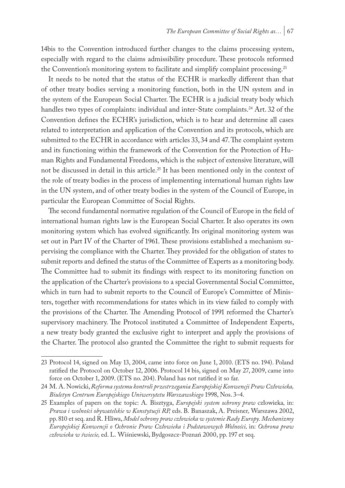14bis to the Convention introduced further changes to the claims processing system, especially with regard to the claims admissibility procedure. These protocols reformed the Convention's monitoring system to facilitate and simplify complaint processing.<sup>23</sup>

It needs to be noted that the status of the ECHR is markedly different than that of other treaty bodies serving a monitoring function, both in the UN system and in the system of the European Social Charter. The ECHR is a judicial treaty body which handles two types of complaints: individual and inter-State complaints.<sup>24</sup> Art. 32 of the Convention defines the ECHR's jurisdiction, which is to hear and determine all cases related to interpretation and application of the Convention and its protocols, which are submitted to the ECHR in accordance with articles 33, 34 and 47. The complaint system and its functioning within the framework of the Convention for the Protection of Human Rights and Fundamental Freedoms, which is the subject of extensive literature, will not be discussed in detail in this article.25 It has been mentioned only in the context of the role of treaty bodies in the process of implementing international human rights law in the UN system, and of other treaty bodies in the system of the Council of Europe, in particular the European Committee of Social Rights.

The second fundamental normative regulation of the Council of Europe in the field of international human rights law is the European Social Charter. It also operates its own monitoring system which has evolved significantly. Its original monitoring system was set out in Part IV of the Charter of 1961. These provisions established a mechanism supervising the compliance with the Charter. They provided for the obligation of states to submit reports and defined the status of the Committee of Experts as a monitoring body. The Committee had to submit its findings with respect to its monitoring function on the application of the Charter's provisions to a special Governmental Social Committee, which in turn had to submit reports to the Council of Europe's Committee of Ministers, together with recommendations for states which in its view failed to comply with the provisions of the Charter. The Amending Protocol of 1991 reformed the Charter's supervisory machinery. The Protocol instituted a Committee of Independent Experts, a new treaty body granted the exclusive right to interpret and apply the provisions of the Charter. The protocol also granted the Committee the right to submit requests for

<sup>23</sup> Protocol 14, signed on May 13, 2004, came into force on June 1, 2010. (ETS no. 194). Poland ratified the Protocol on October 12, 2006. Protocol 14 bis, signed on May 27, 2009, came into force on October 1, 2009. (ETS no. 204). Poland has not ratified it so far.

<sup>24</sup> M. A. Nowicki, *Reforma systemu kontroli przestrzegania Europejskiej Konwencji Praw Człowieka, Biuletyn Centrum Europejskiego Uniwersytetu Warszawskiego* 1998, Nos. 3–4.

<sup>25</sup> Examples of papers on the topic: A. Bisztyga, *Europejski system ochrony praw* człowieka*,* in: *Prawa i wolności obywatelskie w Konstytucji RP,* eds. B. Banaszak, A. Preisner*,* Warszawa 2002, pp. 810 et seq. and R. Hliwa, *Model ochrony praw człowieka w systemie Rady Europy. Mechanizmy Europejskiej Konwencji o Ochronie Praw Człowieka i Podstawowych Wolności,* in: *Ochrona praw człowieka w świecie,* ed. L. Wiśniewski, Bydgoszcz-Poznań 2000, pp. 197 et seq.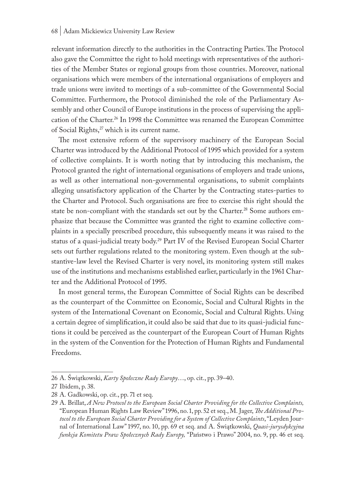relevant information directly to the authorities in the Contracting Parties. The Protocol also gave the Committee the right to hold meetings with representatives of the authorities of the Member States or regional groups from those countries. Moreover, national organisations which were members of the international organisations of employers and trade unions were invited to meetings of a sub-committee of the Governmental Social Committee. Furthermore, the Protocol diminished the role of the Parliamentary Assembly and other Council of Europe institutions in the process of supervising the application of the Charter.<sup>26</sup> In 1998 the Committee was renamed the European Committee of Social Rights,<sup>27</sup> which is its current name.

The most extensive reform of the supervisory machinery of the European Social Charter was introduced by the Additional Protocol of 1995 which provided for a system of collective complaints. It is worth noting that by introducing this mechanism, the Protocol granted the right of international organisations of employers and trade unions, as well as other international non-governmental organisations, to submit complaints alleging unsatisfactory application of the Charter by the Contracting states-parties to the Charter and Protocol. Such organisations are free to exercise this right should the state be non-compliant with the standards set out by the Charter.<sup>28</sup> Some authors emphasize that because the Committee was granted the right to examine collective complaints in a specially prescribed procedure, this subsequently means it was raised to the status of a quasi-judicial treaty body.29 Part IV of the Revised European Social Charter sets out further regulations related to the monitoring system. Even though at the substantive-law level the Revised Charter is very novel, its monitoring system still makes use of the institutions and mechanisms established earlier, particularly in the 1961 Charter and the Additional Protocol of 1995.

In most general terms, the European Committee of Social Rights can be described as the counterpart of the Committee on Economic, Social and Cultural Rights in the system of the International Covenant on Economic, Social and Cultural Rights. Using a certain degree of simplification, it could also be said that due to its quasi-judicial functions it could be perceived as the counterpart of the European Court of Human Rights in the system of the Convention for the Protection of Human Rights and Fundamental Freedoms.

<sup>26</sup> A. Świątkowski, *Karty Społeczne Rady Europy*…, op. cit., pp. 39–40.

<sup>27</sup> Ibidem, p. 38.

<sup>28</sup> A. Gadkowski, op. cit., pp. 71 et seq.

<sup>29</sup> A. Brillat, *A New Protocol to the European Social Charter Providing for the Collective Complaints,* "European Human Rights Law Review" 1996, no. 1, pp. 52 et seq., M. Jager, *The Additional Protocol to the European Social Charter Providing for a System of Collective Complaints*, "Leyden Journal of International Law" 1997, no. 10, pp. 69 et seq. and A. Świątkowski, *Quasi-jurysdykcyjna funkcja Komitetu Praw Społecznych Rady Europy,* "Państwo i Prawo" 2004, no. 9, pp. 46 et seq.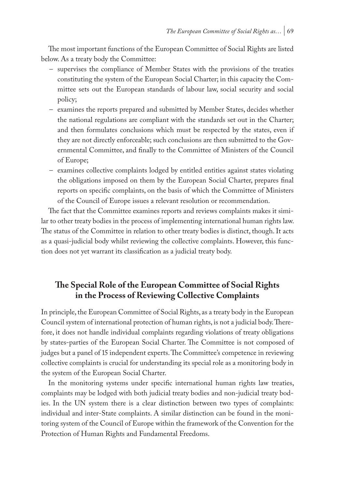The most important functions of the European Committee of Social Rights are listed below. As a treaty body the Committee:

- supervises the compliance of Member States with the provisions of the treaties constituting the system of the European Social Charter; in this capacity the Committee sets out the European standards of labour law, social security and social policy;
- examines the reports prepared and submitted by Member States, decides whether the national regulations are compliant with the standards set out in the Charter; and then formulates conclusions which must be respected by the states, even if they are not directly enforceable; such conclusions are then submitted to the Governmental Committee, and finally to the Committee of Ministers of the Council of Europe;
- examines collective complaints lodged by entitled entities against states violating the obligations imposed on them by the European Social Charter, prepares final reports on specific complaints, on the basis of which the Committee of Ministers of the Council of Europe issues a relevant resolution or recommendation.

The fact that the Committee examines reports and reviews complaints makes it similar to other treaty bodies in the process of implementing international human rights law. The status of the Committee in relation to other treaty bodies is distinct, though. It acts as a quasi-judicial body whilst reviewing the collective complaints. However, this function does not yet warrant its classification as a judicial treaty body.

# **The Special Role of the European Committee of Social Rights in the Process of Reviewing Collective Complaints**

In principle, the European Committee of Social Rights, as a treaty body in the European Council system of international protection of human rights, is not a judicial body. Therefore, it does not handle individual complaints regarding violations of treaty obligations by states-parties of the European Social Charter. The Committee is not composed of judges but a panel of 15 independent experts. The Committee's competence in reviewing collective complaints is crucial for understanding its special role as a monitoring body in the system of the European Social Charter.

In the monitoring systems under specific international human rights law treaties, complaints may be lodged with both judicial treaty bodies and non-judicial treaty bodies. In the UN system there is a clear distinction between two types of complaints: individual and inter-State complaints. A similar distinction can be found in the monitoring system of the Council of Europe within the framework of the Convention for the Protection of Human Rights and Fundamental Freedoms.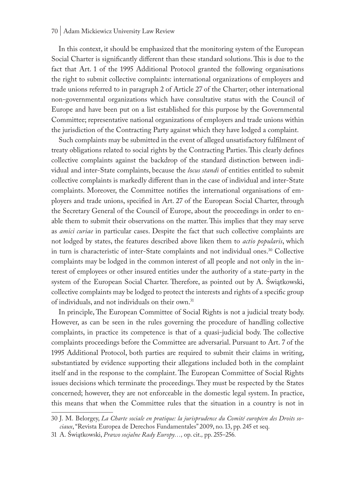#### 70 | Adam Mickiewicz University Law Review

In this context, it should be emphasized that the monitoring system of the European Social Charter is significantly different than these standard solutions. This is due to the fact that Art. 1 of the 1995 Additional Protocol granted the following organisations the right to submit collective complaints: international organizations of employers and trade unions referred to in paragraph 2 of Article 27 of the Charter; other international non-governmental organizations which have consultative status with the Council of Europe and have been put on a list established for this purpose by the Governmental Committee; representative national organizations of employers and trade unions within the jurisdiction of the Contracting Party against which they have lodged a complaint.

Such complaints may be submitted in the event of alleged unsatisfactory fulfilment of treaty obligations related to social rights by the Contracting Parties. This clearly defines collective complaints against the backdrop of the standard distinction between individual and inter-State complaints, because the *locus standi* of entities entitled to submit collective complaints is markedly different than in the case of individual and inter-State complaints. Moreover, the Committee notifies the international organisations of employers and trade unions, specified in Art. 27 of the European Social Charter, through the Secretary General of the Council of Europe, about the proceedings in order to enable them to submit their observations on the matter. This implies that they may serve as *amici curiae* in particular cases. Despite the fact that such collective complaints are not lodged by states, the features described above liken them to *actio popularis*, which in turn is characteristic of inter-State complaints and not individual ones.<sup>30</sup> Collective complaints may be lodged in the common interest of all people and not only in the interest of employees or other insured entities under the authority of a state-party in the system of the European Social Charter. Therefore, as pointed out by A. Świątkowski, collective complaints may be lodged to protect the interests and rights of a specific group of individuals, and not individuals on their own.31

In principle, The European Committee of Social Rights is not a judicial treaty body. However, as can be seen in the rules governing the procedure of handling collective complaints, in practice its competence is that of a quasi-judicial body. The collective complaints proceedings before the Committee are adversarial. Pursuant to Art. 7 of the 1995 Additional Protocol, both parties are required to submit their claims in writing, substantiated by evidence supporting their allegations included both in the complaint itself and in the response to the complaint. The European Committee of Social Rights issues decisions which terminate the proceedings. They must be respected by the States concerned; however, they are not enforceable in the domestic legal system. In practice, this means that when the Committee rules that the situation in a country is not in

<sup>30</sup> J. M. Belorgey, *La Charte sociale en pratique: la jurisprudence du Comité européen des Droits sociaux*, "Revista Europea de Derechos Fundamentales" 2009, no. 13, pp. 245 et seq.

<sup>31</sup> A. Świątkowski, *Prawo socjalne Rady Europy…,* op. cit.*,* pp. 255–256*.*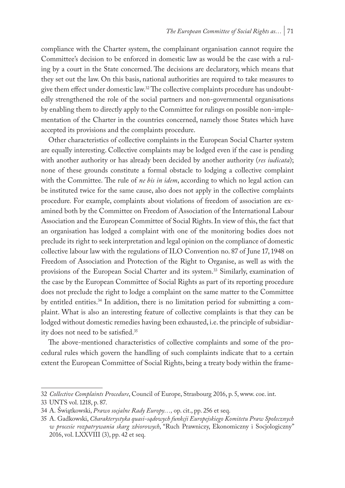compliance with the Charter system, the complainant organisation cannot require the Committee's decision to be enforced in domestic law as would be the case with a ruling by a court in the State concerned. The decisions are declaratory, which means that they set out the law. On this basis, national authorities are required to take measures to give them effect under domestic law.32 The collective complaints procedure has undoubtedly strengthened the role of the social partners and non-governmental organisations by enabling them to directly apply to the Committee for rulings on possible non-implementation of the Charter in the countries concerned, namely those States which have accepted its provisions and the complaints procedure.

Other characteristics of collective complaints in the European Social Charter system are equally interesting. Collective complaints may be lodged even if the case is pending with another authority or has already been decided by another authority (*res iudicata*); none of these grounds constitute a formal obstacle to lodging a collective complaint with the Committee. The rule of *ne bis in idem*, according to which no legal action can be instituted twice for the same cause, also does not apply in the collective complaints procedure*.* For example, complaints about violations of freedom of association are examined both by the Committee on Freedom of Association of the International Labour Association and the European Committee of Social Rights. In view of this, the fact that an organisation has lodged a complaint with one of the monitoring bodies does not preclude its right to seek interpretation and legal opinion on the compliance of domestic collective labour law with the regulations of ILO Convention no. 87 of June 17, 1948 on Freedom of Association and Protection of the Right to Organise, as well as with the provisions of the European Social Charter and its system.<sup>33</sup> Similarly, examination of the case by the European Committee of Social Rights as part of its reporting procedure does not preclude the right to lodge a complaint on the same matter to the Committee by entitled entities.<sup>34</sup> In addition, there is no limitation period for submitting a complaint. What is also an interesting feature of collective complaints is that they can be lodged without domestic remedies having been exhausted, i.e. the principle of subsidiarity does not need to be satisfied.35

The above-mentioned characteristics of collective complaints and some of the procedural rules which govern the handling of such complaints indicate that to a certain extent the European Committee of Social Rights, being a treaty body within the frame-

<sup>32</sup> *Collective Complaints Procedure*, Council of Europe, Strasbourg 2016, p. 5, www. coe. int.

<sup>33</sup> UNTS vol. 1218, p. 87.

<sup>34</sup> A. Świątkowski, *Prawo socjalne Rady Europy…,* op. cit., pp. 256 et seq.

<sup>35</sup> A. Gadkowski, *Charakterystyka quasi-sądowych funkcji Europejskiego Komitetu Praw Społecznych w procesie rozpatrywania skarg zbiorowych*, "Ruch Prawniczy, Ekonomiczny i Socjologiczny" 2016, vol. LXXVIII (3), pp. 42 et seq.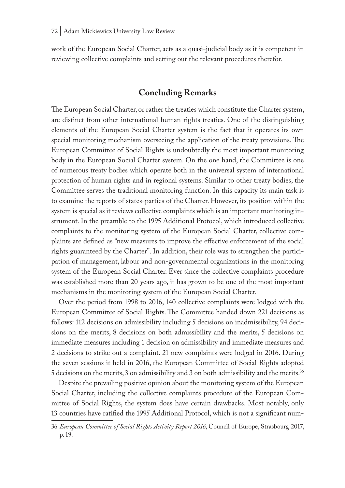work of the European Social Charter, acts as a quasi-judicial body as it is competent in reviewing collective complaints and setting out the relevant procedures therefor.

# **Concluding Remarks**

The European Social Charter, or rather the treaties which constitute the Charter system, are distinct from other international human rights treaties. One of the distinguishing elements of the European Social Charter system is the fact that it operates its own special monitoring mechanism overseeing the application of the treaty provisions. The European Committee of Social Rights is undoubtedly the most important monitoring body in the European Social Charter system. On the one hand, the Committee is one of numerous treaty bodies which operate both in the universal system of international protection of human rights and in regional systems. Similar to other treaty bodies, the Committee serves the traditional monitoring function. In this capacity its main task is to examine the reports of states-parties of the Charter. However, its position within the system is special as it reviews collective complaints which is an important monitoring instrument. In the preamble to the 1995 Additional Protocol, which introduced collective complaints to the monitoring system of the European Social Charter, collective complaints are defined as "new measures to improve the effective enforcement of the social rights guaranteed by the Charter". In addition, their role was to strengthen the participation of management, labour and non-governmental organizations in the monitoring system of the European Social Charter. Ever since the collective complaints procedure was established more than 20 years ago, it has grown to be one of the most important mechanisms in the monitoring system of the European Social Charter.

Over the period from 1998 to 2016, 140 collective complaints were lodged with the European Committee of Social Rights. The Committee handed down 221 decisions as follows: 112 decisions on admissibility including 5 decisions on inadmissibility, 94 decisions on the merits, 8 decisions on both admissibility and the merits, 5 decisions on immediate measures including 1 decision on admissibility and immediate measures and 2 decisions to strike out a complaint. 21 new complaints were lodged in 2016. During the seven sessions it held in 2016, the European Committee of Social Rights adopted 5 decisions on the merits, 3 on admissibility and 3 on both admissibility and the merits.36

Despite the prevailing positive opinion about the monitoring system of the European Social Charter, including the collective complaints procedure of the European Committee of Social Rights, the system does have certain drawbacks. Most notably, only 13 countries have ratified the 1995 Additional Protocol, which is not a significant num-

<sup>36</sup> *European Committee of Social Rights Activity Report 2016*, Council of Europe, Strasbourg 2017, p. 19.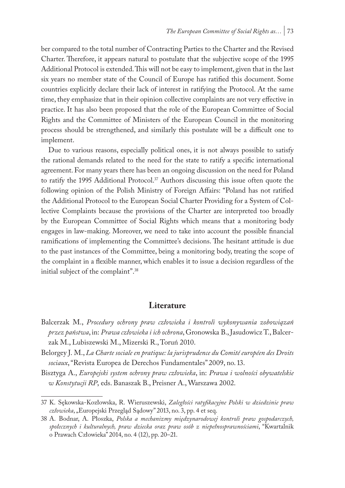ber compared to the total number of Contracting Parties to the Charter and the Revised Charter. Therefore, it appears natural to postulate that the subjective scope of the 1995 Additional Protocol is extended. This will not be easy to implement, given that in the last six years no member state of the Council of Europe has ratified this document. Some countries explicitly declare their lack of interest in ratifying the Protocol. At the same time, they emphasize that in their opinion collective complaints are not very effective in practice. It has also been proposed that the role of the European Committee of Social Rights and the Committee of Ministers of the European Council in the monitoring process should be strengthened, and similarly this postulate will be a difficult one to implement.

Due to various reasons, especially political ones, it is not always possible to satisfy the rational demands related to the need for the state to ratify a specific international agreement. For many years there has been an ongoing discussion on the need for Poland to ratify the 1995 Additional Protocol.<sup>37</sup> Authors discussing this issue often quote the following opinion of the Polish Ministry of Foreign Affairs: "Poland has not ratified the Additional Protocol to the European Social Charter Providing for a System of Collective Complaints because the provisions of the Charter are interpreted too broadly by the European Committee of Social Rights which means that a monitoring body engages in law-making. Moreover, we need to take into account the possible financial ramifications of implementing the Committee's decisions. The hesitant attitude is due to the past instances of the Committee, being a monitoring body, treating the scope of the complaint in a flexible manner, which enables it to issue a decision regardless of the initial subject of the complaint".38

#### **Literature**

- Balcerzak M., *Procedury ochrony praw człowieka i kontroli wykonywania zobowiązań przez państwa*, in: *Prawa człowieka i ich ochrona*, Gronowska B., Jasudowicz T., Balcerzak M., Lubiszewski M., Mizerski R., Toruń 2010.
- Belorgey J. M., *La Charte sociale en pratique: la jurisprudence du Comité européen des Droits sociaux*, "Revista Europea de Derechos Fundamentales" 2009, no. 13.
- Bisztyga A., *Europejski system ochrony praw człowieka*, in: *Prawa i wolności obywatelskie w Konstytucji RP*, eds. Banaszak B., Preisner A., Warszawa 2002.

<sup>37</sup> K. Sękowska-Kozłowska, R. Wieruszewski, *Zaległości ratyfikacyjne Polski w dziedzinie praw człowieka*, "Europejski Przegląd Sądowy" 2013, no. 3, pp. 4 et seq.

<sup>38</sup> A. Bodnar, A. Płoszka, *Polska a mechanizmy międzynarodowej kontroli praw gospodarczych, społecznych i kulturalnych, praw dziecka oraz praw osób z niepełnosprawnościami*, "Kwartalnik o Prawach Człowieka" 2014, no. 4 (12), pp. 20–21.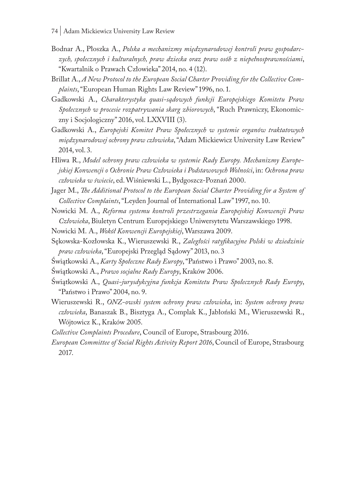- Bodnar A., Płoszka A., *Polska a mechanizmy międzynarodowej kontroli praw gospodarczych, społecznych i kulturalnych, praw dziecka oraz praw osób z niepełnosprawnościami*, "Kwartalnik o Prawach Człowieka" 2014, no. 4 (12).
- Brillat A., *A New Protocol to the European Social Charter Providing for the Collective Complaints*, "European Human Rights Law Review" 1996, no. 1.
- Gadkowski A., *Charakterystyka quasi-sądowych funkcji Europejskiego Komitetu Praw Społecznych w procesie rozpatrywania skarg zbiorowych*, "Ruch Prawniczy, Ekonomiczny i Socjologiczny" 2016, vol. LXXVIII (3).
- Gadkowski A., *Europejski Komitet Praw Społecznych w systemie organów traktatowych międzynarodowej ochrony praw człowieka*, "Adam Mickiewicz University Law Review" 2014, vol. 3.
- Hliwa R., *Model ochrony praw człowieka w systemie Rady Europy. Mechanizmy Europejskiej Konwencji o Ochronie Praw Człowieka i Podstawowych Wolności*, in: *Ochrona praw człowieka w świecie*, ed. Wiśniewski L., Bydgoszcz-Poznań 2000.
- Jager M., *The Additional Protocol to the European Social Charter Providing for a System of Collective Complaints*, "Leyden Journal of International Law" 1997, no. 10.
- Nowicki M. A., *Reforma systemu kontroli przestrzegania Europejskiej Konwencji Praw Człowieka*, Biuletyn Centrum Europejskiego Uniwersytetu Warszawskiego 1998.

Nowicki M. A., *Wokół Konwencji Europejskiej*, Warszawa 2009.

- Sękowska-Kozłowska K., Wieruszewski R., *Zaległości ratyfikacyjne Polski w dziedzinie praw człowieka*, "Europejski Przegląd Sądowy" 2013, no. 3
- Świątkowski A., *Karty Społeczne Rady Europy*, "Państwo i Prawo" 2003, no. 8.
- Świątkowski A., *Prawo socjalne Rady Europy*, Kraków 2006.
- Świątkowski A., *Quasi-jurysdykcyjna funkcja Komitetu Praw Społecznych Rady Europy*, "Państwo i Prawo" 2004, no. 9.
- Wieruszewski R., *ONZ-owski system ochrony praw człowieka*, in: *System ochrony praw człowieka*, Banaszak B., Bisztyga A., Complak K., Jabłoński M., Wieruszewski R., Wójtowicz K., Kraków 2005.

*Collective Complaints Procedure*, Council of Europe, Strasbourg 2016.

*European Committee of Social Rights Activity Report 2016*, Council of Europe, Strasbourg 2017.